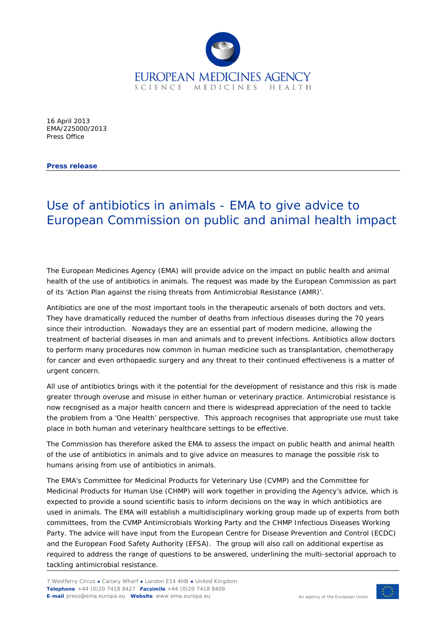

16 April 2013 EMA/225000/2013 Press Office

**Press release**

## Use of antibiotics in animals - EMA to give advice to European Commission on public and animal health impact

The European Medicines Agency (EMA) will provide advice on the impact on public health and animal health of the use of antibiotics in animals. The request was made by the European Commission as part of its 'Action Plan against the rising threats from Antimicrobial Resistance (AMR)'.

Antibiotics are one of the most important tools in the therapeutic arsenals of both doctors and vets. They have dramatically reduced the number of deaths from infectious diseases during the 70 years since their introduction. Nowadays they are an essential part of modern medicine, allowing the treatment of bacterial diseases in man and animals and to prevent infections. Antibiotics allow doctors to perform many procedures now common in human medicine such as transplantation, chemotherapy for cancer and even orthopaedic surgery and any threat to their continued effectiveness is a matter of urgent concern.

All use of antibiotics brings with it the potential for the development of resistance and this risk is made greater through overuse and misuse in either human or veterinary practice. Antimicrobial resistance is now recognised as a major health concern and there is widespread appreciation of the need to tackle the problem from a 'One Health' perspective. This approach recognises that appropriate use must take place in both human and veterinary healthcare settings to be effective.

The Commission has therefore asked the EMA to assess the impact on public health and animal health of the use of antibiotics in animals and to give advice on measures to manage the possible risk to humans arising from use of antibiotics in animals.

The EMA's Committee for Medicinal Products for Veterinary Use (CVMP) and the Committee for Medicinal Products for Human Use (CHMP) will work together in providing the Agency's advice, which is expected to provide a sound scientific basis to inform decisions on the way in which antibiotics are used in animals. The EMA will establish a multidisciplinary working group made up of experts from both committees, from the CVMP Antimicrobials Working Party and the CHMP Infectious Diseases Working Party. The advice will have input from the European Centre for Disease Prevention and Control (ECDC) and the European Food Safety Authority (EFSA). The group will also call on additional expertise as required to address the range of questions to be answered, underlining the multi-sectorial approach to tackling antimicrobial resistance.

7 Westferry Circus **●** Canary Wharf **●** London E14 4HB **●** United Kingdom **Telephone** +44 (0)20 7418 8427 **Facsimile** +44 (0)20 7418 8409 **E-mail** press@ema.europa.eu **Website** www.ema.europa.eu